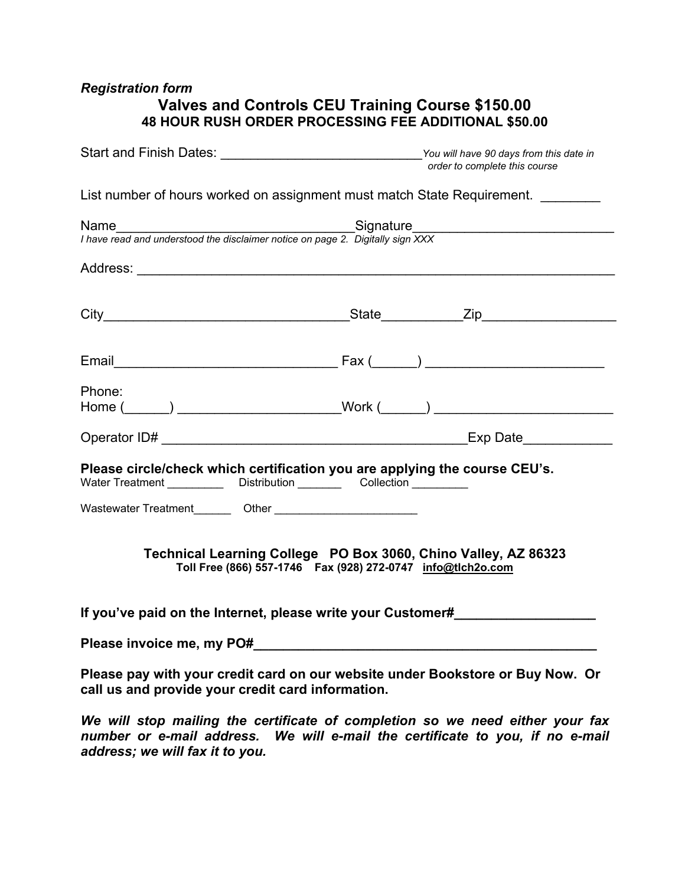# *Registration form*  **Valves and Controls CEU Training Course \$150.00 48 HOUR RUSH ORDER PROCESSING FEE ADDITIONAL \$50.00**

|                                                                                                                                                          | Start and Finish Dates: _________________________________You will have 90 days from this date in<br>order to complete this course |  |  |  |
|----------------------------------------------------------------------------------------------------------------------------------------------------------|-----------------------------------------------------------------------------------------------------------------------------------|--|--|--|
| List number of hours worked on assignment must match State Requirement.                                                                                  |                                                                                                                                   |  |  |  |
| Name<br>I have read and understood the disclaimer notice on page 2. Digitally sign XXX                                                                   |                                                                                                                                   |  |  |  |
|                                                                                                                                                          |                                                                                                                                   |  |  |  |
|                                                                                                                                                          |                                                                                                                                   |  |  |  |
|                                                                                                                                                          |                                                                                                                                   |  |  |  |
| Phone:<br>Home (______) ________________________Work (______) ____________________________                                                               |                                                                                                                                   |  |  |  |
|                                                                                                                                                          |                                                                                                                                   |  |  |  |
| Please circle/check which certification you are applying the course CEU's.<br>Water Treatment _____________ Distribution __________ Collection _________ |                                                                                                                                   |  |  |  |
|                                                                                                                                                          |                                                                                                                                   |  |  |  |
| Technical Learning College PO Box 3060, Chino Valley, AZ 86323<br>Toll Free (866) 557-1746  Fax (928) 272-0747  info@tlch2o.com                          |                                                                                                                                   |  |  |  |
| If you've paid on the Internet, please write your Customer#                                                                                              |                                                                                                                                   |  |  |  |
|                                                                                                                                                          |                                                                                                                                   |  |  |  |
| Please pay with your credit card on our website under Bookstore or Buy Now. Or                                                                           |                                                                                                                                   |  |  |  |

*We will stop mailing the certificate of completion so we need either your fax number or e-mail address. We will e-mail the certificate to you, if no e-mail address; we will fax it to you.* 

**call us and provide your credit card information.**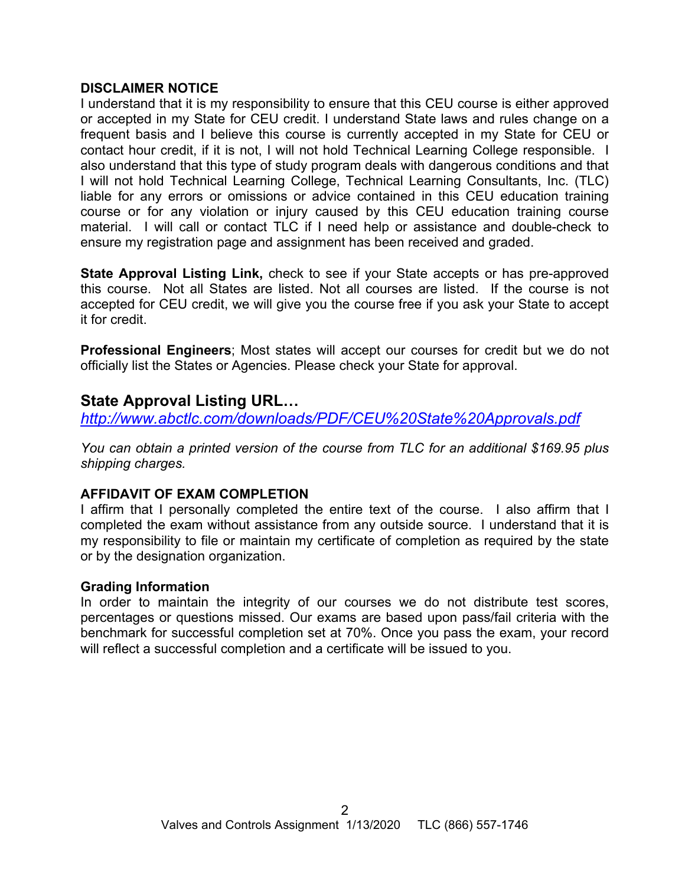### **DISCLAIMER NOTICE**

I understand that it is my responsibility to ensure that this CEU course is either approved or accepted in my State for CEU credit. I understand State laws and rules change on a frequent basis and I believe this course is currently accepted in my State for CEU or contact hour credit, if it is not, I will not hold Technical Learning College responsible. I also understand that this type of study program deals with dangerous conditions and that I will not hold Technical Learning College, Technical Learning Consultants, Inc. (TLC) liable for any errors or omissions or advice contained in this CEU education training course or for any violation or injury caused by this CEU education training course material. I will call or contact TLC if I need help or assistance and double-check to ensure my registration page and assignment has been received and graded.

**State Approval Listing Link,** check to see if your State accepts or has pre-approved this course. Not all States are listed. Not all courses are listed. If the course is not accepted for CEU credit, we will give you the course free if you ask your State to accept it for credit.

**Professional Engineers**; Most states will accept our courses for credit but we do not officially list the States or Agencies. Please check your State for approval.

# **State Approval Listing URL…**

*<http://www.abctlc.com/downloads/PDF/CEU%20State%20Approvals.pdf>*

*You can obtain a printed version of the course from TLC for an additional \$169.95 plus shipping charges.* 

## **AFFIDAVIT OF EXAM COMPLETION**

I affirm that I personally completed the entire text of the course. I also affirm that I completed the exam without assistance from any outside source. I understand that it is my responsibility to file or maintain my certificate of completion as required by the state or by the designation organization.

## **Grading Information**

In order to maintain the integrity of our courses we do not distribute test scores, percentages or questions missed. Our exams are based upon pass/fail criteria with the benchmark for successful completion set at 70%. Once you pass the exam, your record will reflect a successful completion and a certificate will be issued to you.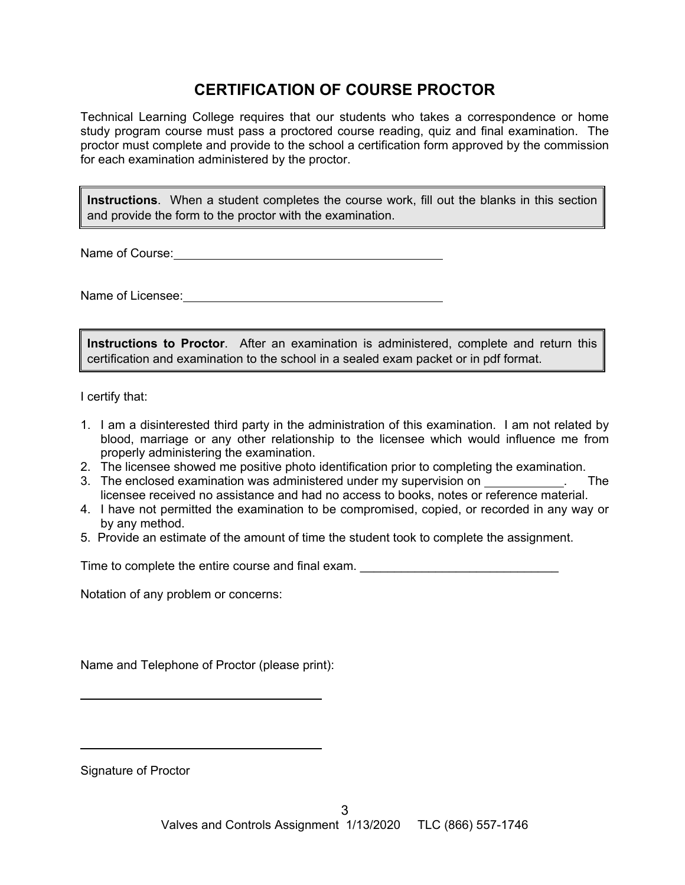# **CERTIFICATION OF COURSE PROCTOR**

Technical Learning College requires that our students who takes a correspondence or home study program course must pass a proctored course reading, quiz and final examination. The proctor must complete and provide to the school a certification form approved by the commission for each examination administered by the proctor.

**Instructions**. When a student completes the course work, fill out the blanks in this section and provide the form to the proctor with the examination.

Name of Course: **Name of Course:** 

Name of Licensee: **Name of Licensee:** 

**Instructions to Proctor**. After an examination is administered, complete and return this certification and examination to the school in a sealed exam packet or in pdf format.

I certify that:

- 1. I am a disinterested third party in the administration of this examination. I am not related by blood, marriage or any other relationship to the licensee which would influence me from properly administering the examination.
- 2. The licensee showed me positive photo identification prior to completing the examination.
- 3. The enclosed examination was administered under my supervision on . The licensee received no assistance and had no access to books, notes or reference material.
- 4. I have not permitted the examination to be compromised, copied, or recorded in any way or by any method.
- 5. Provide an estimate of the amount of time the student took to complete the assignment.

Time to complete the entire course and final exam.

Notation of any problem or concerns:

Name and Telephone of Proctor (please print):

Signature of Proctor

 $\overline{a}$ 

 $\overline{a}$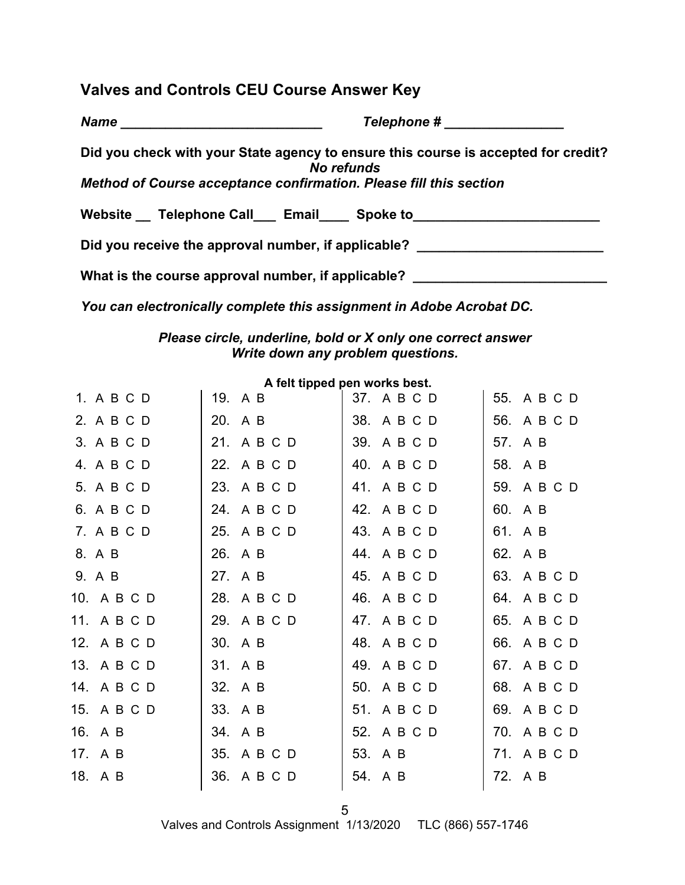# **Valves and Controls CEU Course Answer Key**

*Name* **Example 2** *Name name name name name name name name name name name name name name name name name name name name name name nam* 

**Did you check with your State agency to ensure this course is accepted for credit?**  *No refunds Method of Course acceptance confirmation. Please fill this section* 

Website \_ Telephone Call \_\_\_ Email \_\_\_\_ Spoke to \_\_\_\_\_\_\_\_\_\_\_\_\_\_\_\_\_\_\_\_\_\_\_\_\_\_\_\_\_\_\_

Did you receive the approval number, if applicable? \_\_\_\_\_\_\_\_\_\_\_\_\_\_\_\_\_\_\_\_\_\_\_\_\_\_\_\_

What is the course approval number, if applicable? \_\_\_\_\_\_\_\_\_\_\_\_\_\_\_\_\_\_\_\_\_\_\_\_\_\_\_\_\_

*You can electronically complete this assignment in Adobe Acrobat DC.* 

## *Please circle, underline, bold or X only one correct answer Write down any problem questions.*

|             |             | A leit tipped pell works best. |             |
|-------------|-------------|--------------------------------|-------------|
| 1. A B C D  | 19. A B     | 37. A B C D                    | 55. A B C D |
| 2. A B C D  | 20. A B     | 38. A B C D                    | 56. A B C D |
| 3. A B C D  | 21. A B C D | 39. A B C D                    | 57. A B     |
| 4. A B C D  | 22. A B C D | 40. A B C D                    | 58. A B     |
| 5. A B C D  | 23. A B C D | 41. A B C D                    | 59. A B C D |
| 6. A B C D  | 24. A B C D | 42. A B C D                    | 60. A B     |
| 7. A B C D  | 25. A B C D | 43. A B C D                    | 61. A B     |
| 8. A B      | 26. A B     | 44. A B C D                    | 62. A B     |
| 9. A B      | 27. A B     | 45. A B C D                    | 63. A B C D |
| 10. A B C D | 28. A B C D | 46. A B C D                    | 64. A B C D |
| 11. A B C D | 29. A B C D | 47. A B C D                    | 65. A B C D |
| 12. A B C D | 30. A B     | 48. A B C D                    | 66. A B C D |
| 13. A B C D | 31. A B     | 49. A B C D                    | 67. A B C D |
| 14. A B C D | 32. A B     | 50. A B C D                    | 68. A B C D |
| 15. A B C D | 33. A B     | 51. A B C D                    | 69. A B C D |
| 16. A B     | 34. A B     | 52. A B C D                    | 70. A B C D |
| 17. A B     | 35. A B C D | 53. A B                        | 71. A B C D |
| 18. A B     | 36. A B C D | 54. A B                        | 72. A B     |
|             |             |                                |             |

**A felt tipped pen works best.** 

Valves and Controls Assignment 1/13/2020 TLC (866) 557-1746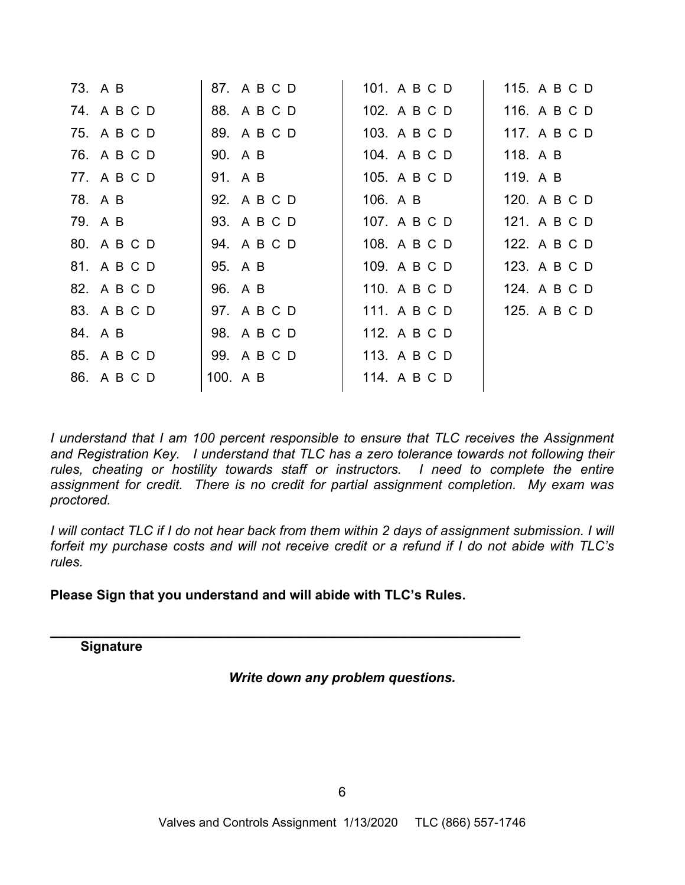| 73. A B     | 87. A B C D | 101. A B C D | 115. A B C D |
|-------------|-------------|--------------|--------------|
| 74. A B C D | 88. A B C D | 102. A B C D | 116. A B C D |
| 75. A B C D | 89. A B C D | 103. A B C D | 117. A B C D |
| 76. A B C D | 90. A B     | 104. A B C D | 118. A B     |
| 77. A B C D | 91. A B     | 105. A B C D | 119. A B     |
| 78. A B     | 92. A B C D | 106. A B     | 120. A B C D |
| 79. A B     | 93. A B C D | 107. A B C D | 121. A B C D |
| 80. A B C D | 94. A B C D | 108. A B C D | 122. A B C D |
| 81. A B C D | 95. A B     | 109. A B C D | 123. A B C D |
| 82. A B C D | 96. A B     | 110. A B C D | 124. A B C D |
| 83. A B C D | 97. A B C D | 111. A B C D | 125. A B C D |
| 84. A B     | 98. A B C D | 112. A B C D |              |
| 85. A B C D | 99. A B C D | 113. A B C D |              |
| 86. A B C D | 100. A B    | 114. A B C D |              |
|             |             |              |              |

*I* understand that *I* am 100 percent responsible to ensure that TLC receives the Assignment *and Registration Key. I understand that TLC has a zero tolerance towards not following their rules, cheating or hostility towards staff or instructors. I need to complete the entire assignment for credit. There is no credit for partial assignment completion. My exam was proctored.* 

*I* will contact TLC if I do not hear back from them within 2 days of assignment submission. I will *forfeit my purchase costs and will not receive credit or a refund if I do not abide with TLC's rules.* 

**Please Sign that you understand and will abide with TLC's Rules.** 

**\_\_\_\_\_\_\_\_\_\_\_\_\_\_\_\_\_\_\_\_\_\_\_\_\_\_\_\_\_\_\_\_\_\_\_\_\_\_\_\_\_\_\_\_\_\_\_\_\_\_\_\_\_\_** 

**Signature** 

*Write down any problem questions.*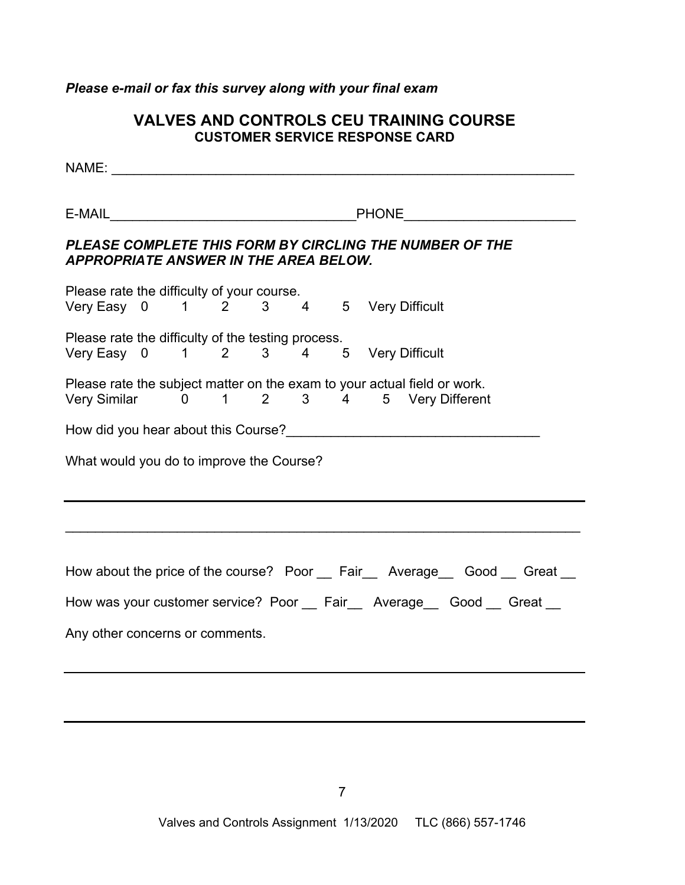# *Please e-mail or fax this survey along with your final exam*

# **VALVES AND CONTROLS CEU TRAINING COURSE CUSTOMER SERVICE RESPONSE CARD**

| PLEASE COMPLETE THIS FORM BY CIRCLING THE NUMBER OF THE<br><b>APPROPRIATE ANSWER IN THE AREA BELOW.</b>             |  |  |  |  |  |  |
|---------------------------------------------------------------------------------------------------------------------|--|--|--|--|--|--|
|                                                                                                                     |  |  |  |  |  |  |
| Please rate the difficulty of your course.<br>Very Easy 0 1 2 3 4 5 Very Difficult                                  |  |  |  |  |  |  |
| Please rate the difficulty of the testing process.<br>Very Easy 0 1 2 3 4 5 Very Difficult                          |  |  |  |  |  |  |
| Please rate the subject matter on the exam to your actual field or work.<br>Very Similar 0 1 2 3 4 5 Very Different |  |  |  |  |  |  |
|                                                                                                                     |  |  |  |  |  |  |
| What would you do to improve the Course?                                                                            |  |  |  |  |  |  |
|                                                                                                                     |  |  |  |  |  |  |
|                                                                                                                     |  |  |  |  |  |  |
| How about the price of the course? Poor __ Fair__ Average__ Good __ Great __                                        |  |  |  |  |  |  |
| How was your customer service? Poor __ Fair __ Average __ Good __ Great __                                          |  |  |  |  |  |  |
| Any other concerns or comments.                                                                                     |  |  |  |  |  |  |
|                                                                                                                     |  |  |  |  |  |  |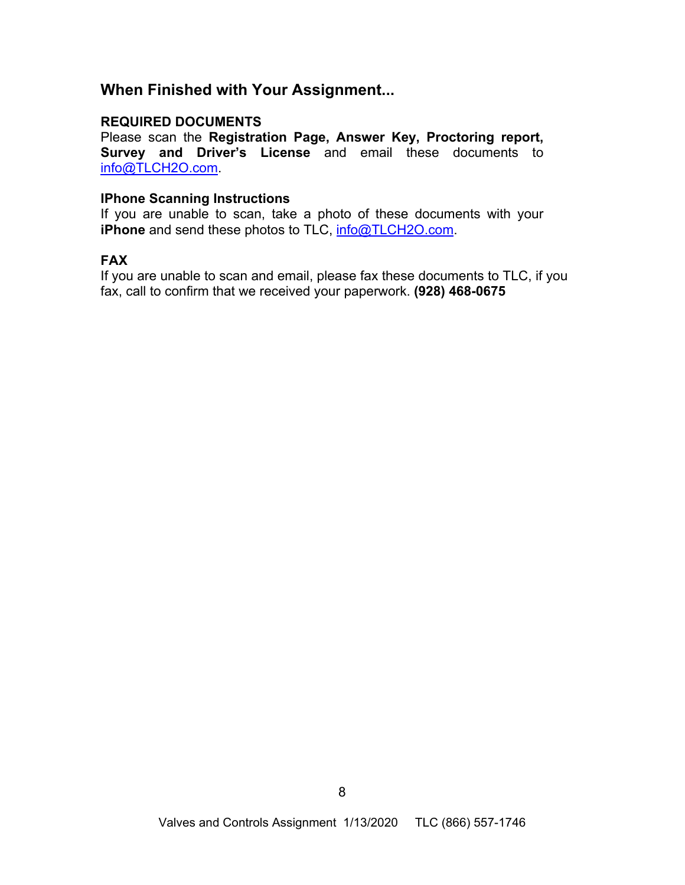# **When Finished with Your Assignment...**

### **REQUIRED DOCUMENTS**

Please scan the **Registration Page, Answer Key, Proctoring report, Survey and Driver's License** and email these documents to [info@TLCH2O.com.](mailto:info@TLCH2O.com) 

### **IPhone Scanning Instructions**

If you are unable to scan, take a photo of these documents with your **iPhone** and send these photos to TLC,  $info@TLCH2O.com$ .

## **FAX**

If you are unable to scan and email, please fax these documents to TLC, if you fax, call to confirm that we received your paperwork. **(928) 468-0675**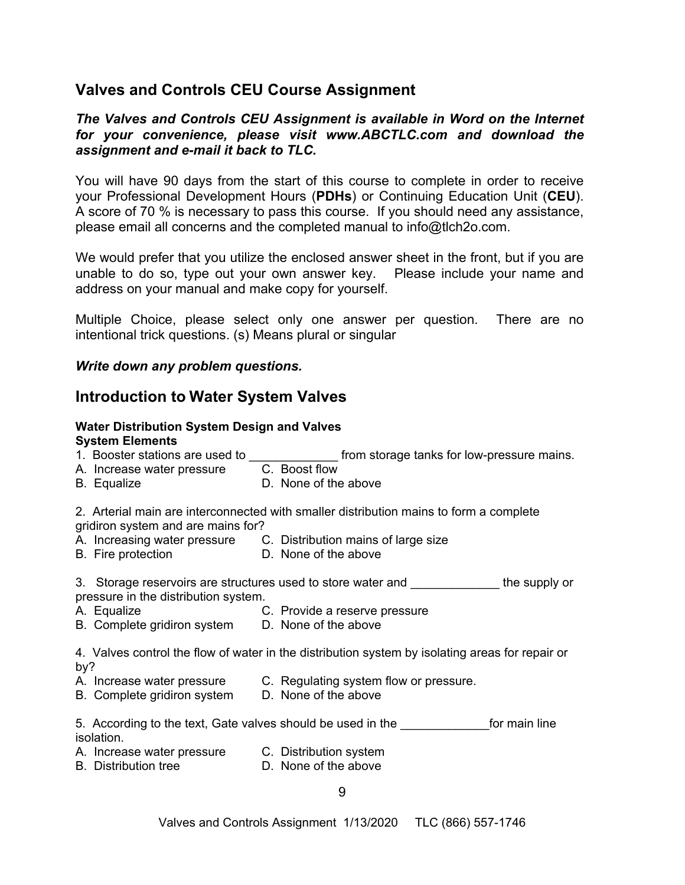# **Valves and Controls CEU Course Assignment**

## *The Valves and Controls CEU Assignment is available in Word on the Internet for your convenience, please visit [www.ABCTLC.com a](http://www.ABCTLC.com)nd download the assignment and e-mail it back to TLC.*

You will have 90 days from the start of this course to complete in order to receive your Professional Development Hours (**PDHs**) or Continuing Education Unit (**CEU**). A score of 70 % is necessary to pass this course. If you should need any assistance, please email all concerns and the completed manual to [info@tlch2o.com.](mailto:info@tlch2o.com) 

We would prefer that you utilize the enclosed answer sheet in the front, but if you are unable to do so, type out your own answer key. Please include your name and address on your manual and make copy for yourself.

Multiple Choice, please select only one answer per question. There are no intentional trick questions. (s) Means plural or singular

### *Write down any problem questions.*

# **Introduction to Water System Valves**

#### **Water Distribution System Design and Valves System Elements**

|                                                                                                                              | A. Increase water pressure C. Boost flow          | 1. Booster stations are used to _____________________from storage tanks for low-pressure mains. |  |  |  |
|------------------------------------------------------------------------------------------------------------------------------|---------------------------------------------------|-------------------------------------------------------------------------------------------------|--|--|--|
|                                                                                                                              | <b>B.</b> Equalize                                | D. None of the above                                                                            |  |  |  |
| 2. Arterial main are interconnected with smaller distribution mains to form a complete<br>gridiron system and are mains for? |                                                   |                                                                                                 |  |  |  |
|                                                                                                                              | B. Fire protection D. None of the above           | A. Increasing water pressure C. Distribution mains of large size                                |  |  |  |
|                                                                                                                              | pressure in the distribution system.              | 3. Storage reservoirs are structures used to store water and ______________the supply or        |  |  |  |
|                                                                                                                              | A. Equalize                                       | C. Provide a reserve pressure                                                                   |  |  |  |
|                                                                                                                              | B. Complete gridiron system D. None of the above  |                                                                                                 |  |  |  |
|                                                                                                                              | by?                                               | 4. Valves control the flow of water in the distribution system by isolating areas for repair or |  |  |  |
|                                                                                                                              |                                                   | A. Increase water pressure C. Regulating system flow or pressure.                               |  |  |  |
|                                                                                                                              | B. Complete gridiron system                       | D. None of the above                                                                            |  |  |  |
|                                                                                                                              | isolation.                                        | 5. According to the text, Gate valves should be used in the The Theorem of the Theorem inter-   |  |  |  |
|                                                                                                                              | A. Increase water pressure C. Distribution system |                                                                                                 |  |  |  |
|                                                                                                                              | <b>B.</b> Distribution tree                       | D. None of the above                                                                            |  |  |  |
|                                                                                                                              |                                                   | <sup>n</sup>                                                                                    |  |  |  |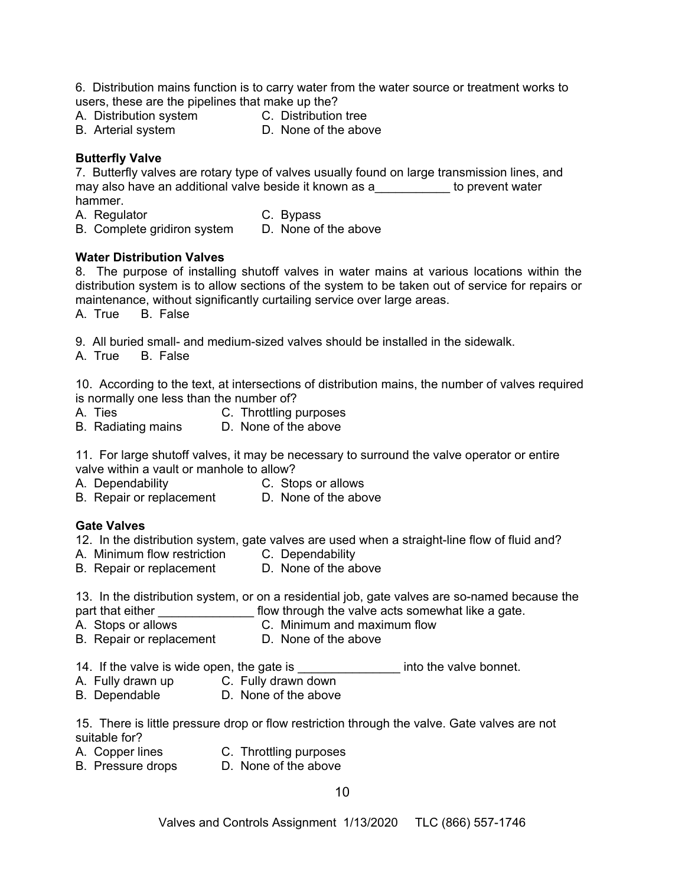6. Distribution mains function is to carry water from the water source or treatment works to users, these are the pipelines that make up the?

- A. Distribution system C. Distribution tree
- 
- 
- B. Arterial system D. None of the above

### **Butterfly Valve**

7. Butterfly valves are rotary type of valves usually found on large transmission lines, and may also have an additional valve beside it known as a Transler's to prevent water hammer.

- A. Regulator C. Bypass
	-
- B. Complete gridiron system D. None of the above

### **Water Distribution Valves**

8. The purpose of installing shutoff valves in water mains at various locations within the distribution system is to allow sections of the system to be taken out of service for repairs or maintenance, without significantly curtailing service over large areas.

A. True B. False

9. All buried small- and medium-sized valves should be installed in the sidewalk.

A. True B. False

10. According to the text, at intersections of distribution mains, the number of valves required is normally one less than the number of?

- A. Ties C. Throttling purposes
- B. Radiating mains D. None of the above

11. For large shutoff valves, it may be necessary to surround the valve operator or entire valve within a vault or manhole to allow?

- 
- A. Dependability C. Stops or allows
- B. Repair or replacement D. None of the above

#### **Gate Valves**

12. In the distribution system, gate valves are used when a straight-line flow of fluid and?

- A. Minimum flow restriction C. Dependability
- B. Repair or replacement D. None of the above

13. In the distribution system, or on a residential job, gate valves are so-named because the

- part that either \_\_\_\_\_\_\_\_\_\_\_\_\_\_\_\_\_\_ flow through the valve acts somewhat like a gate.
- A. Stops or allows C. Minimum and maximum flow
- B. Repair or replacement D. None of the above
- 14. If the valve is wide open, the gate is \_\_\_\_\_\_\_\_\_\_\_\_\_\_\_\_\_ into the valve bonnet.
- A. Fully drawn up C. Fully drawn down
- B. Dependable D. None of the above

15. There is little pressure drop or flow restriction through the valve. Gate valves are not suitable for?

- 
- A. Copper lines C. Throttling purposes
- B. Pressure drops D. None of the above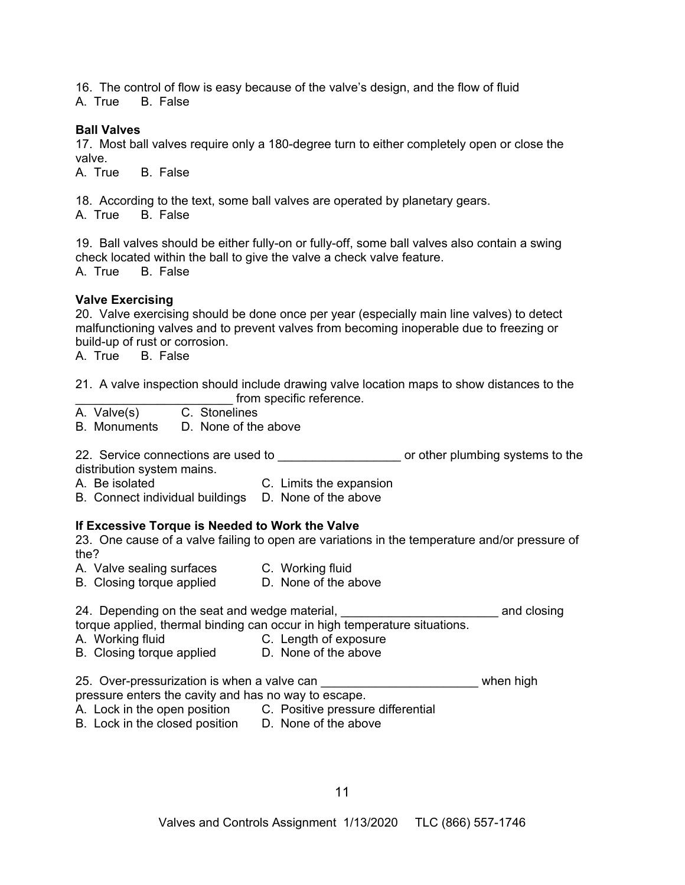16. The control of flow is easy because of the valve's design, and the flow of fluid A. True B. False

#### **Ball Valves**

17. Most ball valves require only a 180-degree turn to either completely open or close the valve.

A. True B. False

18. According to the text, some ball valves are operated by planetary gears. A. True B. False

19. Ball valves should be either fully-on or fully-off, some ball valves also contain a swing check located within the ball to give the valve a check valve feature. A. True B. False

#### **Valve Exercising**

20. Valve exercising should be done once per year (especially main line valves) to detect malfunctioning valves and to prevent valves from becoming inoperable due to freezing or build-up of rust or corrosion.

A. True B. False

21. A valve inspection should include drawing valve location maps to show distances to the

- \_\_\_\_\_\_\_\_\_\_\_\_ from specific reference.<br>C. Stonelines A. Valve(s)
- B. Monuments D. None of the above

22. Service connections are used to **the connections** are used to the connections are used to the connection or other plumbing systems to the distribution system mains.

- A. Be isolated C. Limits the expansion
- B. Connect individual buildings D. None of the above

#### **If Excessive Torque is Needed to Work the Valve**

23. One cause of a valve failing to open are variations in the temperature and/or pressure of the?

- A. Valve sealing surfaces C. Working fluid
- B. Closing torque applied D. None of the above

24. Depending on the seat and wedge material, \_\_\_\_\_\_\_\_\_\_\_\_\_\_\_\_\_\_\_\_\_\_\_\_\_\_\_\_\_\_\_\_\_ and closing torque applied, thermal binding can occur in high temperature situations.

- A. Working fluid C. Length of exposure
- B. Closing torque applied D. None of the above

25. Over-pressurization is when a valve can \_\_\_\_\_\_\_\_\_\_\_\_\_\_\_\_\_\_\_\_\_\_\_\_\_\_\_\_\_\_ when high

pressure enters the cavity and has no way to escape.

- A. Lock in the open position C. Positive pressure differential
- B. Lock in the closed position D. None of the above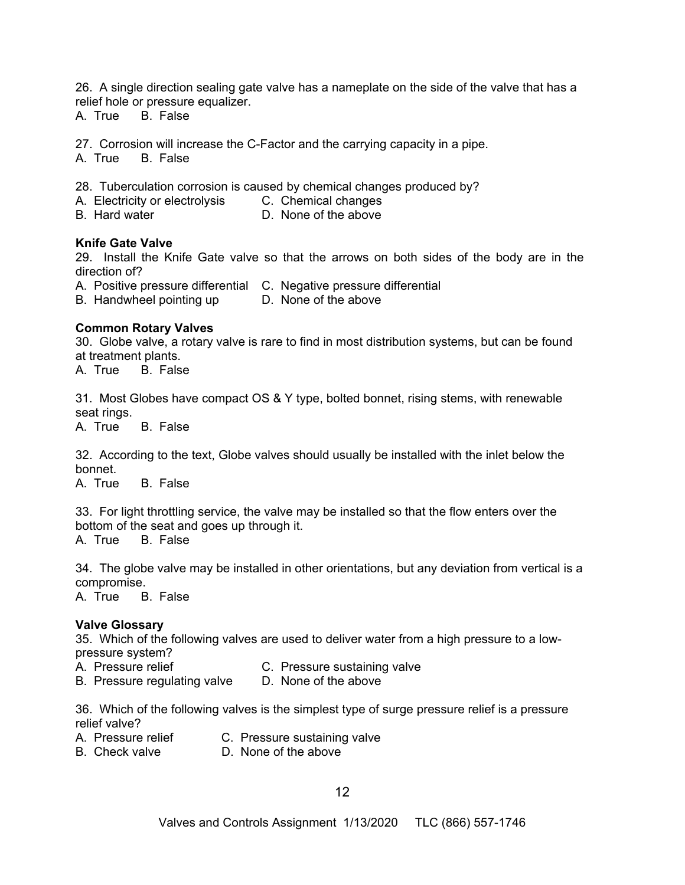26. A single direction sealing gate valve has a nameplate on the side of the valve that has a relief hole or pressure equalizer.

A. True B. False

27. Corrosion will increase the C-Factor and the carrying capacity in a pipe.

A. True B. False

28. Tuberculation corrosion is caused by chemical changes produced by?

- A. Electricity or electrolysis C. Chemical changes
- B. Hard water **D. None of the above**

#### **Knife Gate Valve**

29. Install the Knife Gate valve so that the arrows on both sides of the body are in the direction of?

- A. Positive pressure differential C. Negative pressure differential
- B. Handwheel pointing up D. None of the above

#### **Common Rotary Valves**

30. Globe valve, a rotary valve is rare to find in most distribution systems, but can be found at treatment plants.

A. True B. False

31. Most Globes have compact OS & Y type, bolted bonnet, rising stems, with renewable seat rings.

A. True B. False

32. According to the text, Globe valves should usually be installed with the inlet below the bonnet.

A. True B. False

33. For light throttling service, the valve may be installed so that the flow enters over the bottom of the seat and goes up through it.

A. True B. False

34. The globe valve may be installed in other orientations, but any deviation from vertical is a compromise.

A. True B. False

#### **Valve Glossary**

35. Which of the following valves are used to deliver water from a high pressure to a lowpressure system?

- A. Pressure relief C. Pressure sustaining valve
- B. Pressure regulating valve D. None of the above

36. Which of the following valves is the simplest type of surge pressure relief is a pressure relief valve?

- A. Pressure relief C. Pressure sustaining valve
- B. Check valve **D.** None of the above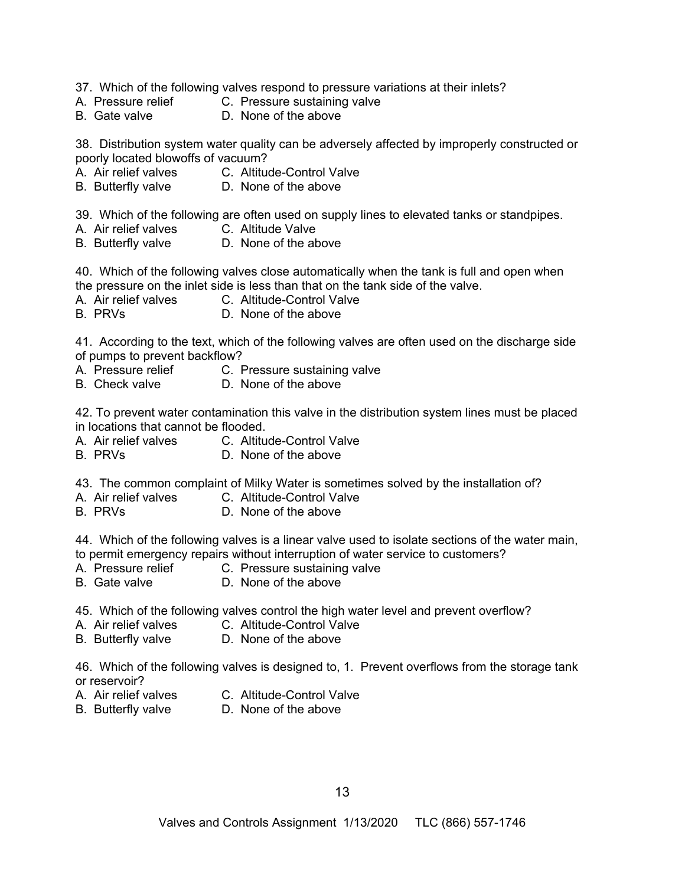- 37. Which of the following valves respond to pressure variations at their inlets?
- A. Pressure relief C. Pressure sustaining valve
- B. Gate valve D. None of the above

38. Distribution system water quality can be adversely affected by improperly constructed or poorly located blowoffs of vacuum?

- A. Air relief valves C. Altitude-Control Valve
- B. Butterfly valve **D.** None of the above

39. Which of the following are often used on supply lines to elevated tanks or standpipes.<br>A. Air relief valves \_\_\_\_\_\_\_\_C. Altitude Valve

- A. Air relief valves
- B. Butterfly valve **D.** None of the above

40. Which of the following valves close automatically when the tank is full and open when the pressure on the inlet side is less than that on the tank side of the valve.

- A. Air relief valves C. Altitude-Control Valve
- B. PRVs D. None of the above

41. According to the text, which of the following valves are often used on the discharge side of pumps to prevent backflow?

- A. Pressure relief C. Pressure sustaining valve
- B. Check valve **D.** None of the above

42. To prevent water contamination this valve in the distribution system lines must be placed in locations that cannot be flooded.

- A. Air relief valves C. Altitude-Control Valve
- B. PRVs D. None of the above

43. The common complaint of Milky Water is sometimes solved by the installation of?

- A. Air relief valves C. Altitude-Control Valve
- B. PRVs D. None of the above

44. Which of the following valves is a linear valve used to isolate sections of the water main, to permit emergency repairs without interruption of water service to customers?

- A. Pressure relief C. Pressure sustaining valve
- B. Gate valve **D.** None of the above
- 45. Which of the following valves control the high water level and prevent overflow?
- A. Air relief valves C. Altitude-Control Valve
- B. Butterfly valve **D.** None of the above

46. Which of the following valves is designed to, 1. Prevent overflows from the storage tank or reservoir?

- 
- A. Air relief valves C. Altitude-Control Valve
- 
- B. Butterfly valve **D.** None of the above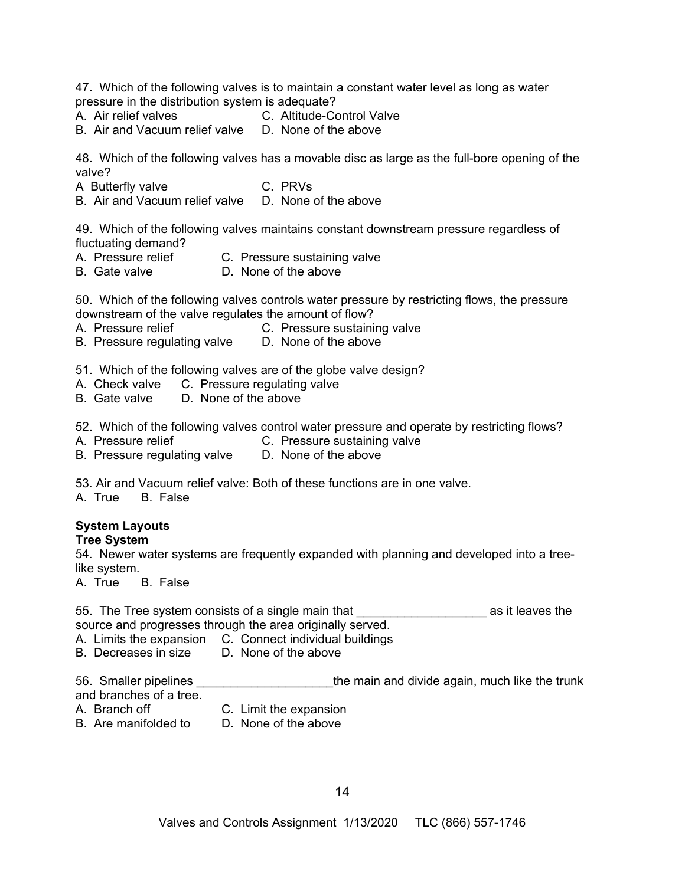47. Which of the following valves is to maintain a constant water level as long as water pressure in the distribution system is adequate?

- A. Air relief valves C. Altitude-Control Valve
- B. Air and Vacuum relief valve D. None of the above

48. Which of the following valves has a movable disc as large as the full-bore opening of the valve?

A Butterfly valve C. PRVs

B. Air and Vacuum relief valve D. None of the above

49. Which of the following valves maintains constant downstream pressure regardless of fluctuating demand?

- A. Pressure relief C. Pressure sustaining valve
- B. Gate valve **D.** None of the above

50. Which of the following valves controls water pressure by restricting flows, the pressure downstream of the valve regulates the amount of flow?

- A. Pressure relief C. Pressure sustaining valve
- B. Pressure regulating valve D. None of the above
- 51. Which of the following valves are of the globe valve design?
- A. Check valve C. Pressure regulating valve
- B. Gate valve D. None of the above
- 52. Which of the following valves control water pressure and operate by restricting flows?
- A. Pressure relief C. Pressure sustaining valve
- B. Pressure regulating valve D. None of the above
- 53. Air and Vacuum relief valve: Both of these functions are in one valve.

A. True B. False

# **System Layouts**

### **Tree System**

54. Newer water systems are frequently expanded with planning and developed into a treelike system.

A. True B. False

55. The Tree system consists of a single main that The Manuscus as it leaves the source and progresses through the area originally served.

A. Limits the expansion C. Connect individual buildings

B. Decreases in size D. None of the above

56. Smaller pipelines \_\_\_\_\_\_\_\_\_\_\_\_\_\_\_\_\_\_\_\_\_\_the main and divide again, much like the trunk and branches of a tree.

- 
- A. Branch off C. Limit the expansion
- 
- B. Are manifolded to D. None of the above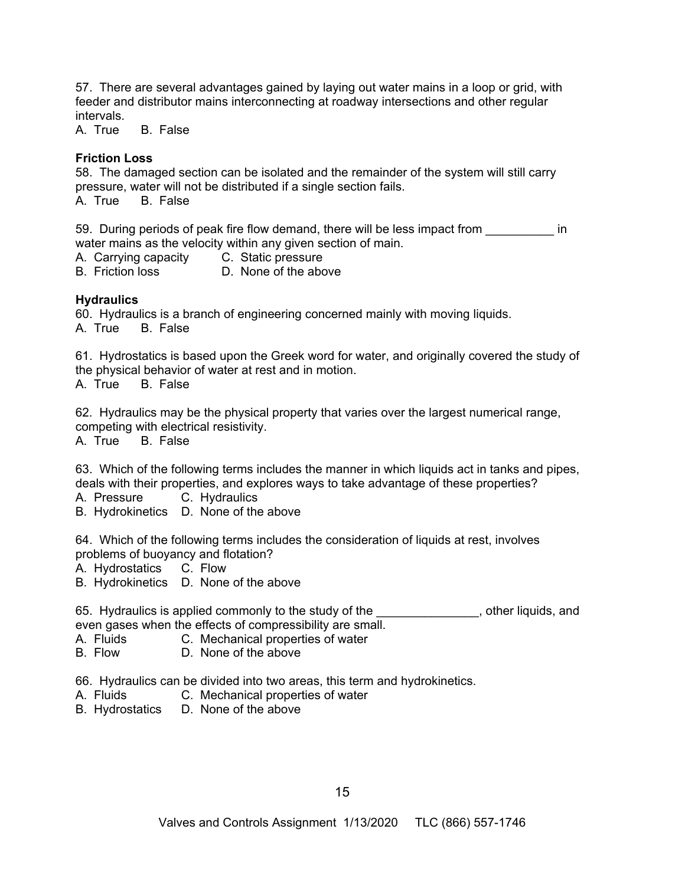57. There are several advantages gained by laying out water mains in a loop or grid, with feeder and distributor mains interconnecting at roadway intersections and other regular intervals.

A. True B. False

#### **Friction Loss**

58. The damaged section can be isolated and the remainder of the system will still carry pressure, water will not be distributed if a single section fails.

A. True B. False

59. During periods of peak fire flow demand, there will be less impact from  $\blacksquare$ water mains as the velocity within any given section of main.

A. Carrying capacity C. Static pressure<br>B. Friction loss D. None of the abd

D. None of the above

### **Hydraulics**

60. Hydraulics is a branch of engineering concerned mainly with moving liquids. A. True B. False

61. Hydrostatics is based upon the Greek word for water, and originally covered the study of the physical behavior of water at rest and in motion.

A. True B. False

62. Hydraulics may be the physical property that varies over the largest numerical range, competing with electrical resistivity.

A. True B. False

63. Which of the following terms includes the manner in which liquids act in tanks and pipes, deals with their properties, and explores ways to take advantage of these properties?

- A. Pressure C. Hydraulics
- B. Hydrokinetics D. None of the above

64. Which of the following terms includes the consideration of liquids at rest, involves problems of buoyancy and flotation?

A. Hydrostatics C. Flow

B. Hydrokinetics D. None of the above

65. Hydraulics is applied commonly to the study of the **EXCONDUM**, other liquids, and even gases when the effects of compressibility are small.

- A. Fluids C. Mechanical properties of water
- B. Flow D. None of the above
- 66. Hydraulics can be divided into two areas, this term and hydrokinetics.
- A. Fluids C. Mechanical properties of water
- B. Hydrostatics D. None of the above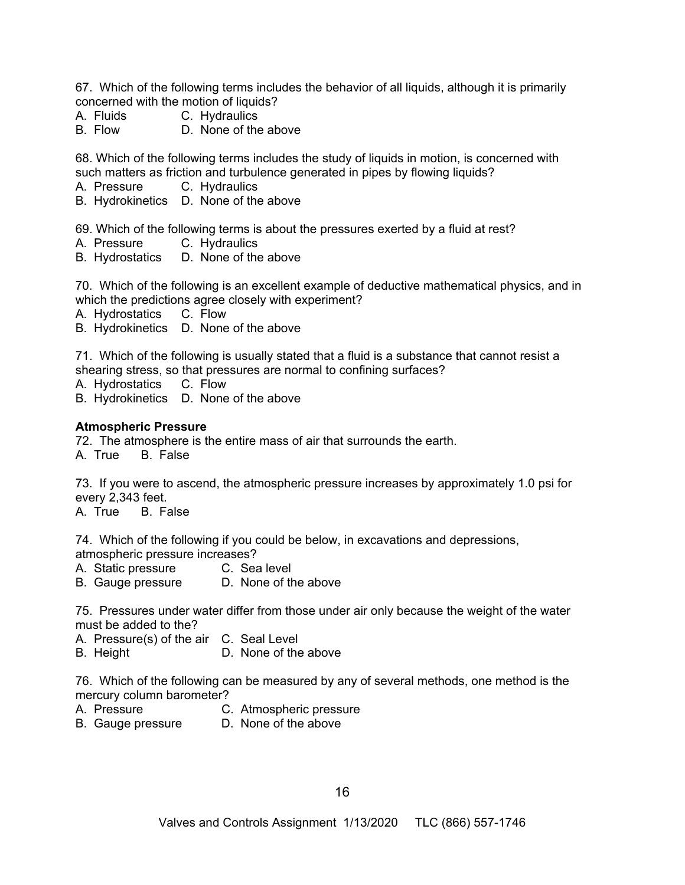67. Which of the following terms includes the behavior of all liquids, although it is primarily concerned with the motion of liquids?

- A. Fluids C. Hydraulics
- B. Flow D. None of the above

68. Which of the following terms includes the study of liquids in motion, is concerned with such matters as friction and turbulence generated in pipes by flowing liquids?

- A. Pressure C. Hydraulics
- B. Hydrokinetics D. None of the above

69. Which of the following terms is about the pressures exerted by a fluid at rest?

- A. Pressure C. Hydraulics
- B. Hydrostatics D. None of the above

70. Which of the following is an excellent example of deductive mathematical physics, and in which the predictions agree closely with experiment?

- A. Hydrostatics C. Flow
- B. Hydrokinetics D. None of the above
- 71. Which of the following is usually stated that a fluid is a substance that cannot resist a shearing stress, so that pressures are normal to confining surfaces?
- A. Hydrostatics C. Flow
- B. Hydrokinetics D. None of the above

#### **Atmospheric Pressure**

72. The atmosphere is the entire mass of air that surrounds the earth.

A. True B. False

73. If you were to ascend, the atmospheric pressure increases by approximately 1.0 psi for every 2,343 feet.

A. True B. False

74. Which of the following if you could be below, in excavations and depressions, atmospheric pressure increases?

A. Static pressure C. Sea level

B. Gauge pressure D. None of the above

75. Pressures under water differ from those under air only because the weight of the water must be added to the?

A. Pressure(s) of the air C. Seal Level

B. Height D. None of the above

76. Which of the following can be measured by any of several methods, one method is the mercury column barometer?

- A. Pressure C. Atmospheric pressure
- B. Gauge pressure D. None of the above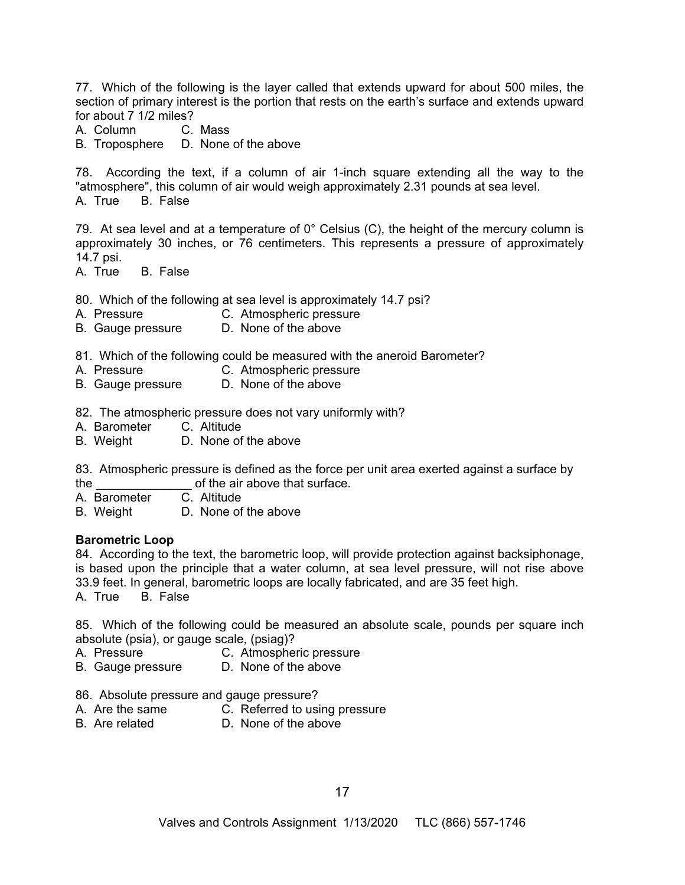77. Which of the following is the layer called that extends upward for about 500 miles, the section of primary interest is the portion that rests on the earth's surface and extends upward for about 7 1/2 miles?<br>A. Column C. Mass

A. Column

B. Troposphere D. None of the above

78. According the text, if a column of air 1-inch square extending all the way to the "atmosphere", this column of air would weigh approximately 2.31 pounds at sea level. A. True B. False

79. At sea level and at a temperature of  $0^\circ$  Celsius (C), the height of the mercury column is approximately 30 inches, or 76 centimeters. This represents a pressure of approximately 14.7 psi.

A. True B. False

80. Which of the following at sea level is approximately 14.7 psi?

- A. Pressure C. Atmospheric pressure
- B. Gauge pressure D. None of the above
- 81. Which of the following could be measured with the aneroid Barometer?
- A. Pressure C. Atmospheric pressure
- B. Gauge pressure D. None of the above

82. The atmospheric pressure does not vary uniformly with?

- A. Barometer C. Altitude
- B. Weight D. None of the above

83. Atmospheric pressure is defined as the force per unit area exerted against a surface by the  $\frac{1}{2}$  of the air above that surface.<br>A. Barometer C. Altitude

- A. Barometer
- B. Weight D. None of the above

#### **Barometric Loop**

84. According to the text, the barometric loop, will provide protection against backsiphonage, is based upon the principle that a water column, at sea level pressure, will not rise above 33.9 feet. In general, barometric loops are locally fabricated, and are 35 feet high.

A. True B. False

85. Which of the following could be measured an absolute scale, pounds per square inch absolute (psia), or gauge scale, (psiag)?

- A. Pressure C. Atmospheric pressure<br>B. Gauge pressure D. None of the above
- B. Gauge pressure
- 86. Absolute pressure and gauge pressure?
- A. Are the same C. Referred to using pressure
- B. Are related D. None of the above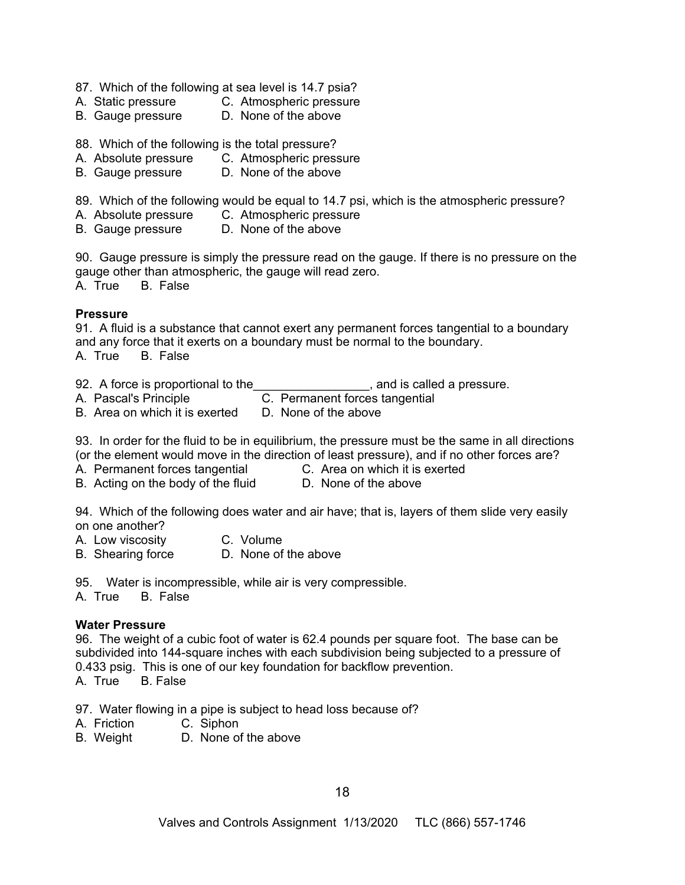- 87. Which of the following at sea level is 14.7 psia?
- A. Static pressure C. Atmospheric pressure
- B. Gauge pressure D. None of the above
- 88. Which of the following is the total pressure?
- A. Absolute pressure C. Atmospheric pressure
- B. Gauge pressure D. None of the above

89. Which of the following would be equal to 14.7 psi, which is the atmospheric pressure?

- A. Absolute pressure C. Atmospheric pressure<br>B. Gauge pressure C. None of the above
- B. Gauge pressure

90. Gauge pressure is simply the pressure read on the gauge. If there is no pressure on the gauge other than atmospheric, the gauge will read zero.

A. True B. False

#### **Pressure**

91. A fluid is a substance that cannot exert any permanent forces tangential to a boundary and any force that it exerts on a boundary must be normal to the boundary. A. True B. False

92. A force is proportional to the set of the set of the set of the set of the set of the set of the set of the set of the set of the set of the set of the set of the set of the set of the set of the set of the set of the

- A. Pascal's Principle **C. Permanent forces tangential**
- 
- B. Area on which it is exerted D. None of the above

93. In order for the fluid to be in equilibrium, the pressure must be the same in all directions (or the element would move in the direction of least pressure), and if no other forces are?

- A. Permanent forces tangential C. Area on which it is exerted
	-
- B. Acting on the body of the fluid D. None of the above

94. Which of the following does water and air have; that is, layers of them slide very easily on one another?

- A. Low viscosity C. Volume
- B. Shearing force D. None of the above

95. Water is incompressible, while air is very compressible.

A. True B. False

#### **Water Pressure**

96. The weight of a cubic foot of water is 62.4 pounds per square foot. The base can be subdivided into 144-square inches with each subdivision being subjected to a pressure of 0.433 psig. This is one of our key foundation for backflow prevention.

A. True B. False

97. Water flowing in a pipe is subject to head loss because of?

- A. Friction C. Siphon
- B. Weight D. None of the above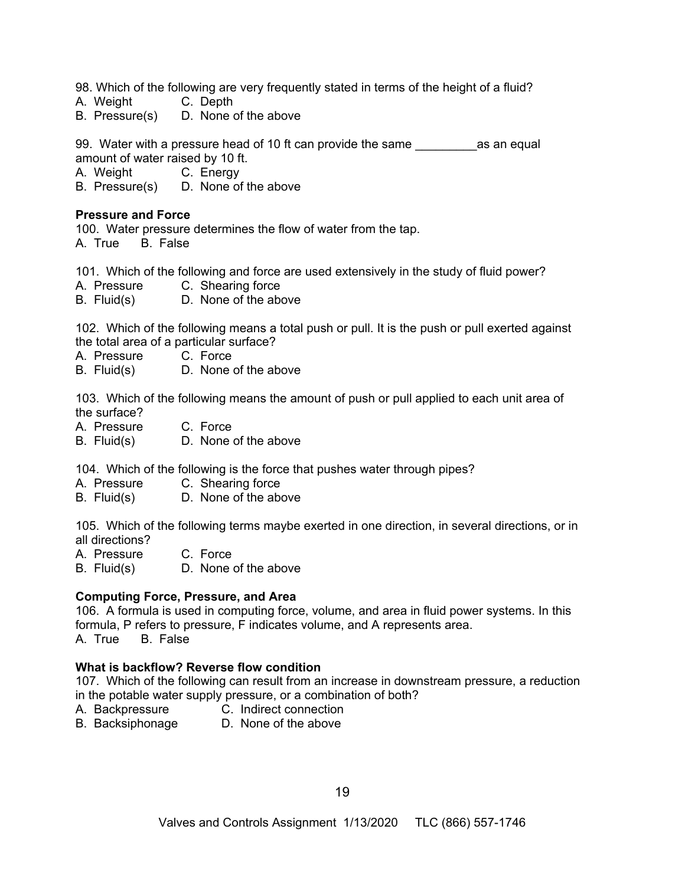98. Which of the following are very frequently stated in terms of the height of a fluid?

- A. Weight C. Depth
- B. Pressure(s) D. None of the above

99. Water with a pressure head of 10 ft can provide the same equal amount of water raised by 10 ft.

A. Weight C. Energy

B. Pressure(s) D. None of the above

#### **Pressure and Force**

100. Water pressure determines the flow of water from the tap. A. True B. False

101. Which of the following and force are used extensively in the study of fluid power?

A. Pressure C. Shearing force

B. Fluid(s) D. None of the above

102. Which of the following means a total push or pull. It is the push or pull exerted against the total area of a particular surface?

- A. Pressure C. Force
- B. Fluid(s) D. None of the above

103. Which of the following means the amount of push or pull applied to each unit area of the surface?

- A. Pressure C. Force
- B. Fluid(s) D. None of the above

104. Which of the following is the force that pushes water through pipes?

- A. Pressure C. Shearing force
- B. Fluid(s) D. None of the above

105. Which of the following terms maybe exerted in one direction, in several directions, or in all directions?

A. Pressure C. Force

B. Fluid(s) D. None of the above

#### **Computing Force, Pressure, and Area**

106. A formula is used in computing force, volume, and area in fluid power systems. In this formula, P refers to pressure, F indicates volume, and A represents area. A. True B. False

#### **What is backflow? Reverse flow condition**

107. Which of the following can result from an increase in downstream pressure, a reduction in the potable water supply pressure, or a combination of both?

- A. Backpressure C. Indirect connection
- B. Backsiphonage D. None of the above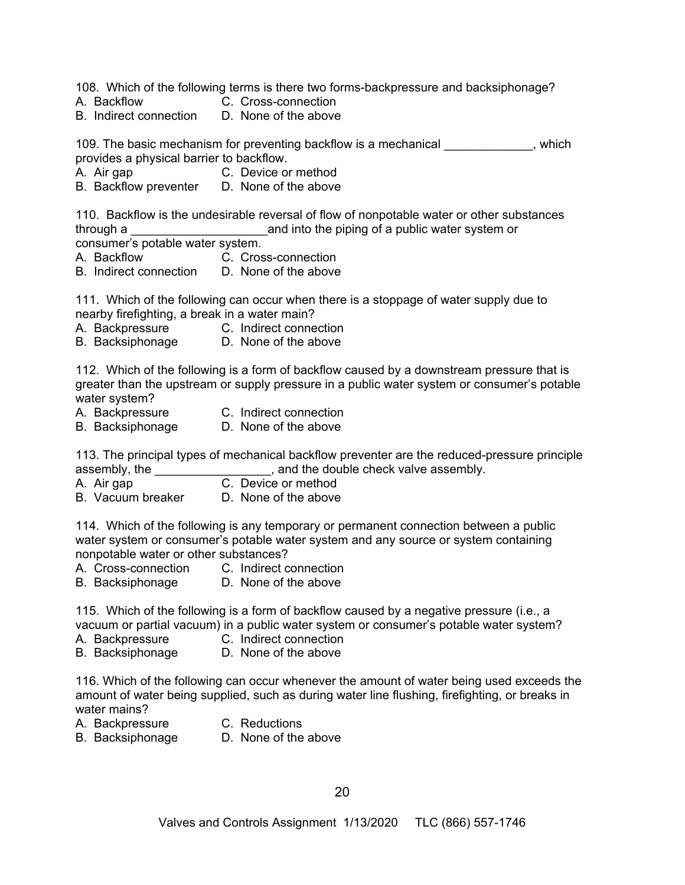108. Which of the following terms is there two forms-backpressure and backsiphonage?

- A. Backflow C. Cross-connection
- B. Indirect connection D. None of the above

109. The basic mechanism for preventing backflow is a mechanical example in the system of the basic mechanism provides a physical barrier to backflow.

- A. Air gap C. Device or method
- B. Backflow preventer D. None of the above

110. Backflow is the undesirable reversal of flow of nonpotable water or other substances through a \_\_\_\_\_\_\_\_\_\_\_\_\_\_\_\_\_\_\_\_and into the piping of a public water system or consumer's potable water system.

- A. Backflow C. Cross-connection
- B. Indirect connection D. None of the above

111. Which of the following can occur when there is a stoppage of water supply due to nearby firefighting, a break in a water main?

- A. Backpressure C. Indirect connection
- B. Backsiphonage D. None of the above

112. Which of the following is a form of backflow caused by a downstream pressure that is greater than the upstream or supply pressure in a public water system or consumer's potable water system?

- 
- A. Backpressure C. Indirect connection
- B. Backsiphonage D. None of the above

113. The principal types of mechanical backflow preventer are the reduced-pressure principle assembly, the **Exercise 2**, and the double check valve assembly.

- A. Air gap C. Device or method
- B. Vacuum breaker D. None of the above

114. Which of the following is any temporary or permanent connection between a public water system or consumer's potable water system and any source or system containing nonpotable water or other substances?

- A. Cross-connection C. Indirect connection
- B. Backsiphonage D. None of the above

115. Which of the following is a form of backflow caused by a negative pressure (i.e., a vacuum or partial vacuum) in a public water system or consumer's potable water system?

- A. Backpressure C. Indirect connection
- B. Backsiphonage D. None of the above

116. Which of the following can occur whenever the amount of water being used exceeds the amount of water being supplied, such as during water line flushing, firefighting, or breaks in water mains?

- A. Backpressure C. Reductions
	-
- 
- B. Backsiphonage D. None of the above